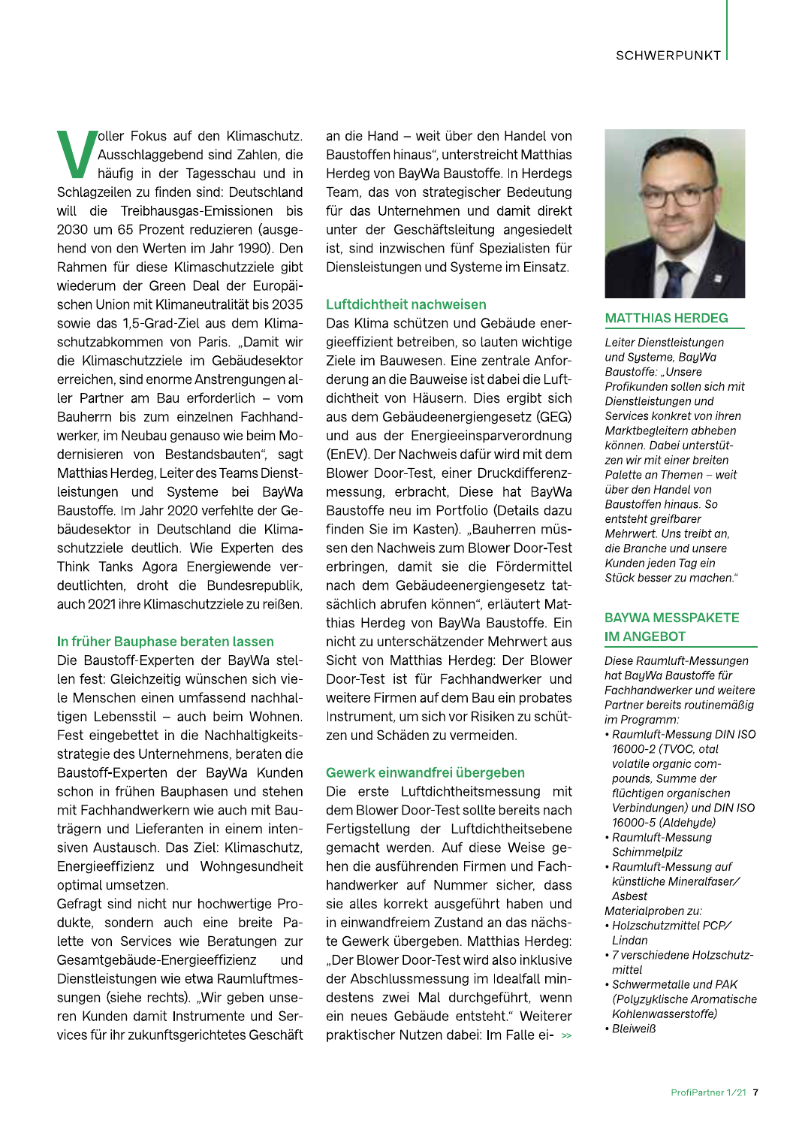oller Fokus auf den Klimaschutz. Ausschlaggebend sind Zahlen, die häufig in der Tagesschau und in Schlagzeilen zu finden sind: Deutschland will die Treibhausgas-Emissionen bis 2030 um 65 Prozent reduzieren (ausgehend von den Werten im Jahr 1990). Den Rahmen für diese Klimaschutzziele gibt wiederum der Green Deal der Europäischen Union mit Klimaneutralität bis 2035 sowie das 1.5-Grad-Ziel aus dem Klimaschutzabkommen von Paris. "Damit wir die Klimaschutzziele im Gebäudesektor erreichen, sind enorme Anstrengungen aller Partner am Bau erforderlich – vom Bauherrn bis zum einzelnen Fachhandwerker, im Neubau genauso wie beim Modernisieren von Bestandsbauten", sagt Matthias Herdeg, Leiter des Teams Dienstleistungen und Systeme bei BayWa Baustoffe. Im Jahr 2020 verfehlte der Gebäudesektor in Deutschland die Klimaschutzziele deutlich. Wie Experten des Think Tanks Agora Energiewende verdeutlichten, droht die Bundesrepublik, auch 2021 ihre Klimaschutzziele zu reißen.

### In früher Bauphase beraten lassen

Die Baustoff-Experten der BayWa stellen fest: Gleichzeitig wünschen sich viele Menschen einen umfassend nachhaltigen Lebensstil - auch beim Wohnen. Fest eingebettet in die Nachhaltigkeitsstrategie des Unternehmens, beraten die Baustoff-Experten der BayWa Kunden schon in frühen Bauphasen und stehen mit Fachhandwerkern wie auch mit Bauträgern und Lieferanten in einem intensiven Austausch. Das Ziel: Klimaschutz. Energieeffizienz und Wohngesundheit optimal umsetzen.

Gefragt sind nicht nur hochwertige Produkte, sondern auch eine breite Palette von Services wie Beratungen zur Gesamtgebäude-Energieeffizienz und Dienstleistungen wie etwa Raumluftmessungen (siehe rechts). "Wir geben unseren Kunden damit Instrumente und Services für ihr zukunftsgerichtetes Geschäft an die Hand – weit über den Handel von Baustoffen hinaus", unterstreicht Matthias Herdeg von BayWa Baustoffe. In Herdegs Team, das von strategischer Bedeutung für das Unternehmen und damit direkt unter der Geschäftsleitung angesiedelt ist, sind inzwischen fünf Spezialisten für Diensleistungen und Systeme im Einsatz.

### Luftdichtheit nachweisen

Das Klima schützen und Gebäude energieeffizient betreiben, so lauten wichtige Ziele im Bauwesen. Eine zentrale Anforderung an die Bauweise ist dabei die Luftdichtheit von Häusern. Dies ergibt sich aus dem Gebäudeenergiengesetz (GEG) und aus der Energieeinsparverordnung (EnEV). Der Nachweis dafür wird mit dem Blower Door-Test, einer Druckdifferenzmessung, erbracht. Diese hat BayWa Baustoffe neu im Portfolio (Details dazu finden Sie im Kasten). "Bauherren müssen den Nachweis zum Blower Door-Test erbringen, damit sie die Fördermittel nach dem Gebäudeenergiengesetz tatsächlich abrufen können", erläutert Matthias Herdeg von BayWa Baustoffe. Ein nicht zu unterschätzender Mehrwert aus Sicht von Matthias Herdeg: Der Blower Door-Test ist für Fachhandwerker und weitere Firmen auf dem Bau ein probates Instrument, um sich vor Risiken zu schützen und Schäden zu vermeiden.

### Gewerk einwandfrei übergeben

Die erste Luftdichtheitsmessung mit dem Blower Door-Test sollte bereits nach Fertigstellung der Luftdichtheitsebene gemacht werden. Auf diese Weise gehen die ausführenden Firmen und Fachhandwerker auf Nummer sicher, dass sie alles korrekt ausgeführt haben und in einwandfreiem Zustand an das nächste Gewerk übergeben. Matthias Herdeg: "Der Blower Door-Test wird also inklusive der Abschlussmessung im Idealfall mindestens zwei Mal durchgeführt, wenn ein neues Gebäude entsteht." Weiterer praktischer Nutzen dabei: Im Falle ei- »



#### **MATTHIAS HERDEG**

Leiter Dienstleistungen und Systeme, BayWa Baustoffe: "Unsere Profikunden sollen sich mit Dienstleistungen und Services konkret von ihren Marktbegleitern abheben können. Dabei unterstützen wir mit einer breiten Palette an Themen - weit über den Handel von Baustoffen hinaus. So entsteht greifbarer Mehrwert. Uns treibt an, die Branche und unsere Kunden jeden Tag ein Stück besser zu machen."

# **BAYWA MESSPAKETE IM ANGEBOT**

Diese Raumluft-Messungen hat BayWa Baustoffe für Fachhandwerker und weitere Partner bereits routinemäßig im Programm:

- Raumluft-Messung DIN ISO 16000-2 (TVOC, otal volatile organic compounds, Summe der flüchtigen organischen Verbindungen) und DIN ISO 16000-5 (Aldehyde)
- Raumluft-Messung Schimmelpilz
- Raumluft-Messung auf künstliche Mineralfaser/ Asbest
- Materialproben zu:
- Holzschutzmittel PCP/ Lindan
- 7 verschiedene Holzschutzmittel
- Schwermetalle und PAK (Polyzyklische Aromatische Kohlenwasserstoffe)
- Bleiweiß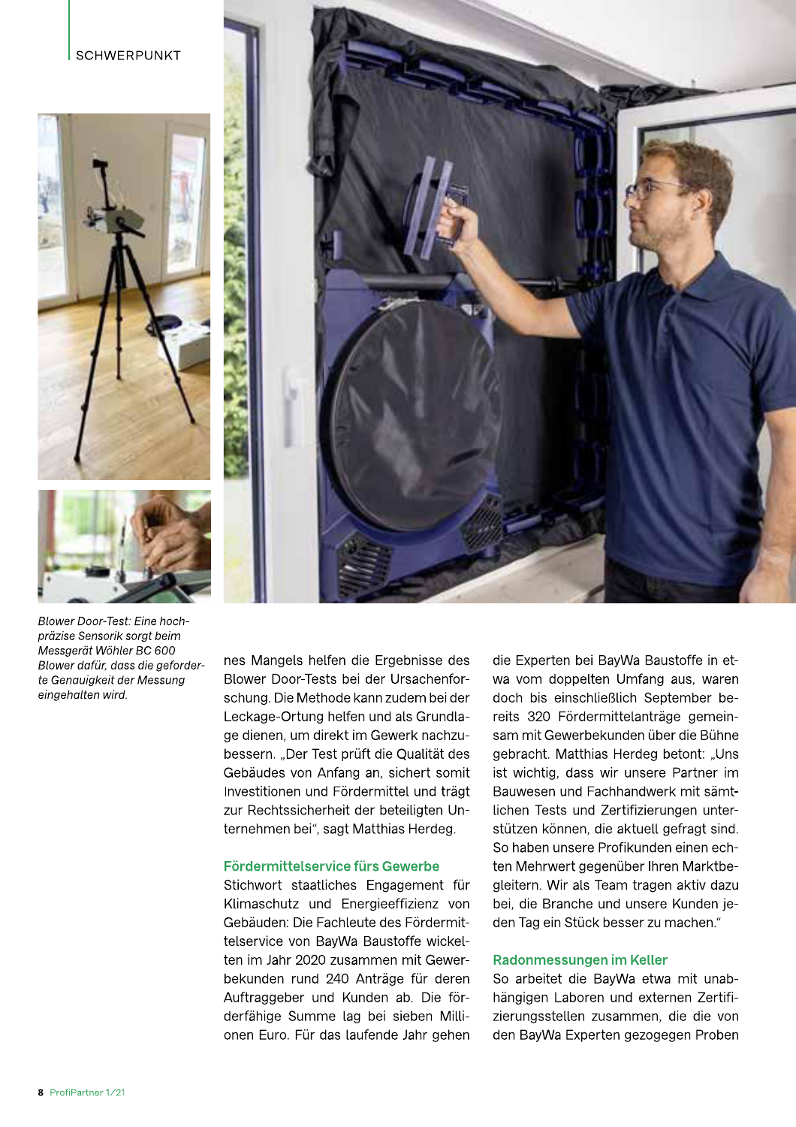### **SCHWERPUNKT**





Blower Door-Test: Eine hochpräzise Sensorik sorgt beim Messgerät Wöhler BC 600 Blower dafür, dass die geforderte Genauigkeit der Messung eingehalten wird.

nes Mangels helfen die Ergebnisse des Blower Door-Tests bei der Ursachenforschung. Die Methode kann zudem bei der Leckage-Ortung helfen und als Grundlage dienen, um direkt im Gewerk nachzubessern. "Der Test prüft die Qualität des Gebäudes von Anfang an, sichert somit Investitionen und Fördermittel und trägt zur Rechtssicherheit der beteiligten Unternehmen bei", sagt Matthias Herdeg.

## Fördermittelservice fürs Gewerbe

Stichwort staatliches Engagement für Klimaschutz und Energieeffizienz von Gebäuden: Die Fachleute des Fördermittelservice von BayWa Baustoffe wickelten im Jahr 2020 zusammen mit Gewerbekunden rund 240 Anträge für deren Auftraggeber und Kunden ab. Die förderfähige Summe lag bei sieben Millionen Euro. Für das laufende Jahr gehen die Experten bei BayWa Baustoffe in etwa vom doppelten Umfang aus, waren doch bis einschließlich September bereits 320 Fördermittelanträge gemeinsam mit Gewerbekunden über die Bühne gebracht. Matthias Herdeg betont: "Uns ist wichtig, dass wir unsere Partner im Bauwesen und Fachhandwerk mit sämtlichen Tests und Zertifizierungen unterstützen können, die aktuell gefragt sind. So haben unsere Profikunden einen echten Mehrwert gegenüber Ihren Marktbegleitern. Wir als Team tragen aktiv dazu bei, die Branche und unsere Kunden jeden Tag ein Stück besser zu machen."

### Radonmessungen im Keller

So arbeitet die BayWa etwa mit unabhängigen Laboren und externen Zertifizierungsstellen zusammen, die die von den BayWa Experten gezogegen Proben